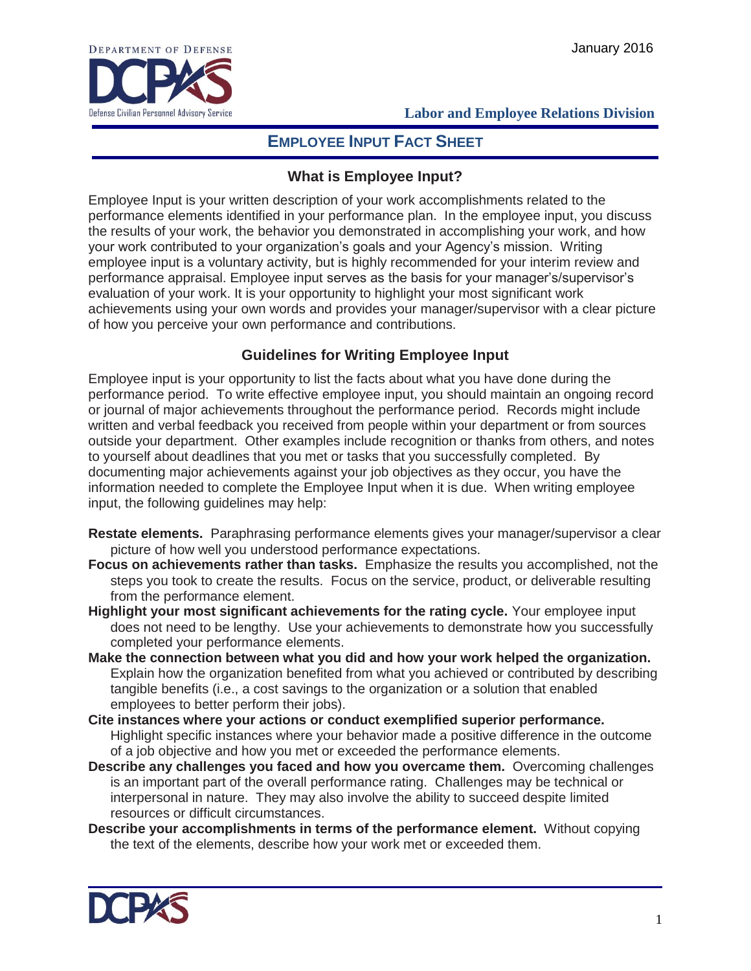

 **Labor and Employee Relations Division**

# **EMPLOYEE INPUT FACT SHEET**

## **What is Employee Input?**

Employee Input is your written description of your work accomplishments related to the performance elements identified in your performance plan. In the employee input, you discuss the results of your work, the behavior you demonstrated in accomplishing your work, and how your work contributed to your organization's goals and your Agency's mission. Writing employee input is a voluntary activity, but is highly recommended for your interim review and performance appraisal. Employee input serves as the basis for your manager's/supervisor's evaluation of your work. It is your opportunity to highlight your most significant work achievements using your own words and provides your manager/supervisor with a clear picture of how you perceive your own performance and contributions.

## **Guidelines for Writing Employee Input**

Employee input is your opportunity to list the facts about what you have done during the performance period. To write effective employee input, you should maintain an ongoing record or journal of major achievements throughout the performance period. Records might include written and verbal feedback you received from people within your department or from sources outside your department. Other examples include recognition or thanks from others, and notes to yourself about deadlines that you met or tasks that you successfully completed. By documenting major achievements against your job objectives as they occur, you have the information needed to complete the Employee Input when it is due. When writing employee input, the following guidelines may help:

- **Restate elements.** Paraphrasing performance elements gives your manager/supervisor a clear picture of how well you understood performance expectations.
- **Focus on achievements rather than tasks.** Emphasize the results you accomplished, not the steps you took to create the results. Focus on the service, product, or deliverable resulting from the performance element.
- **Highlight your most significant achievements for the rating cycle.** Your employee input does not need to be lengthy. Use your achievements to demonstrate how you successfully completed your performance elements.
- **Make the connection between what you did and how your work helped the organization.**  Explain how the organization benefited from what you achieved or contributed by describing tangible benefits (i.e., a cost savings to the organization or a solution that enabled employees to better perform their jobs).
- **Cite instances where your actions or conduct exemplified superior performance.**  Highlight specific instances where your behavior made a positive difference in the outcome of a job objective and how you met or exceeded the performance elements.
- **Describe any challenges you faced and how you overcame them.** Overcoming challenges is an important part of the overall performance rating. Challenges may be technical or interpersonal in nature. They may also involve the ability to succeed despite limited resources or difficult circumstances.
- **Describe your accomplishments in terms of the performance element.** Without copying the text of the elements, describe how your work met or exceeded them.